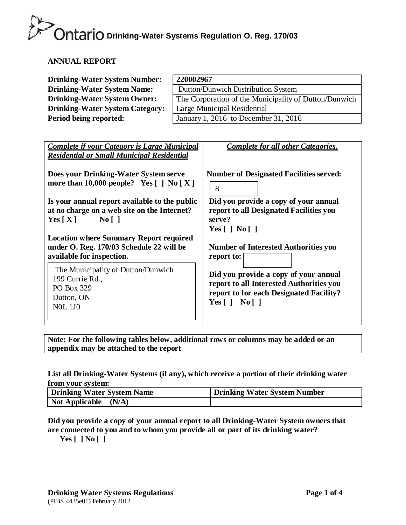#### **ANNUAL REPORT**

| <b>Drinking-Water System Number:</b>   | 220002967                                             |
|----------------------------------------|-------------------------------------------------------|
| <b>Drinking-Water System Name:</b>     | Dutton/Dunwich Distribution System                    |
| <b>Drinking-Water System Owner:</b>    | The Corporation of the Municipality of Dutton/Dunwich |
| <b>Drinking-Water System Category:</b> | Large Municipal Residential                           |
| Period being reported:                 | January 1, 2016 to December 31, 2016                  |

| <b>Complete if your Category is Large Municipal</b><br><b>Residential or Small Municipal Residential</b>                                      | <b>Complete for all other Categories.</b>                                                                                                                  |
|-----------------------------------------------------------------------------------------------------------------------------------------------|------------------------------------------------------------------------------------------------------------------------------------------------------------|
| Does your Drinking-Water System serve<br>more than 10,000 people? Yes $\lceil \cdot \rceil$ No $\lceil X \rceil$                              | <b>Number of Designated Facilities served:</b><br>8                                                                                                        |
| Is your annual report available to the public<br>at no charge on a web site on the Internet?<br>$\overline{N_0}$    <br>Yes $\lceil X \rceil$ | Did you provide a copy of your annual<br>report to all Designated Facilities you<br>serve?<br>Yes $\lceil$   No $\lceil$                                   |
| <b>Location where Summary Report required</b><br>under O. Reg. 170/03 Schedule 22 will be<br>available for inspection.                        | <b>Number of Interested Authorities you</b><br>report to:                                                                                                  |
| The Municipality of Dutton/Dunwich<br>199 Currie Rd.,<br>PO Box 329<br>Dutton, ON<br><b>NOL 1JO</b>                                           | Did you provide a copy of your annual<br>report to all Interested Authorities you<br>report to for each Designated Facility?<br>Yes $\lceil$   No $\lceil$ |

**Note: For the following tables below, additional rows or columns may be added or an appendix may be attached to the report**

#### **List all Drinking-Water Systems (if any), which receive a portion of their drinking water from your system:**

| Drinking Water System Name     | Drinking Water System Number |
|--------------------------------|------------------------------|
| <b>Not Applicable</b><br>(N/A) |                              |

**Did you provide a copy of your annual report to all Drinking-Water System owners that are connected to you and to whom you provide all or part of its drinking water?**

**Yes [ ] No [ ]**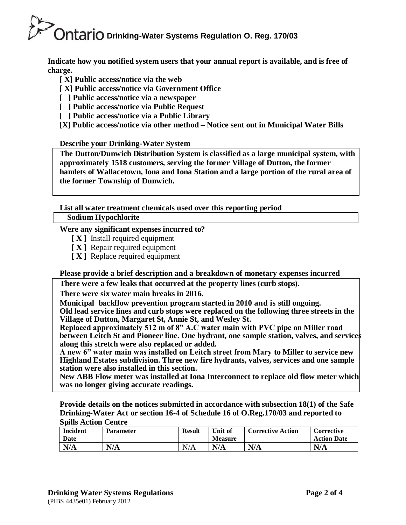**Indicate how you notified system users that your annual report is available, and is free of charge.**

- **[ X] Public access/notice via the web**
- **[ X] Public access/notice via Government Office**
- **[ ] Public access/notice via a newspaper**
- **[ ] Public access/notice via Public Request**
- **[ ] Public access/notice via a Public Library**

**[X] Public access/notice via other method – Notice sent out in Municipal Water Bills**

**Describe your Drinking-Water System**

**The Dutton/Dunwich Distribution System is classified as a large municipal system, with approximately 1518 customers, serving the former Village of Dutton, the former hamlets of Wallacetown, Iona and Iona Station and a large portion of the rural area of the former Township of Dunwich.**

**List all water treatment chemicals used over this reporting period** 

**Sodium Hypochlorite**

#### **Were any significant expenses incurred to?**

- **[ X ]** Install required equipment
- **[ X ]** Repair required equipment
- **[ X ]** Replace required equipment

**Please provide a brief description and a breakdown of monetary expenses incurred**

**There were a few leaks that occurred at the property lines (curb stops).**

**There were six water main breaks in 2016.**

**Municipal backflow prevention program started in 2010 and is still ongoing. Old lead service lines and curb stops were replaced on the following three streets in the Village of Dutton, Margaret St, Annie St, and Wesley St.**

**Replaced approximately 512 m of 8" A.C water main with PVC pipe on Miller road between Leitch St and Pioneer line. One hydrant, one sample station, valves, and services along this stretch were also replaced or added.** 

**A new 6" water main was installed on Leitch street from Mary to Miller to service new Highland Estates subdivision. Three new fire hydrants, valves, services and one sample station were also installed in this section.**

**New ABB Flow meter was installed at Iona Interconnect to replace old flow meter which was no longer giving accurate readings.**

**Provide details on the notices submitted in accordance with subsection 18(1) of the Safe Drinking-Water Act or section 16-4 of Schedule 16 of O.Reg.170/03 and reported to Spills Action Centre**

| <b>Incident</b><br>Date | <b>Parameter</b> | <b>Result</b> | Unit of<br><b>Measure</b> | <b>Corrective Action</b> | <b>Corrective</b><br><b>Action Date</b> |
|-------------------------|------------------|---------------|---------------------------|--------------------------|-----------------------------------------|
| N/A                     | N/A              | N/A           | N/A                       | N/A                      | N/A                                     |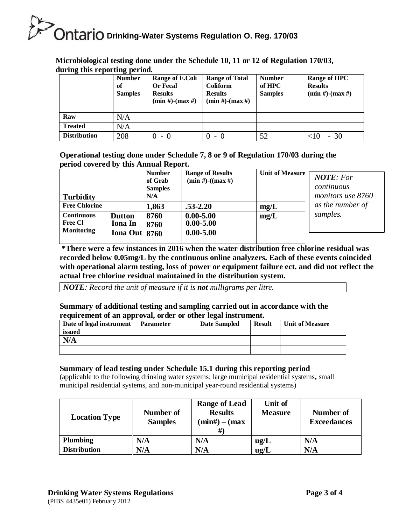**Microbiological testing done under the Schedule 10, 11 or 12 of Regulation 170/03, during this reporting period.**

| 0                   | $\sigma$ .<br><b>Number</b><br>of<br><b>Samples</b> | Range of E.Coli<br><b>Or Fecal</b><br><b>Results</b><br>$(min #)-(max #)$ | <b>Range of Total</b><br><b>Coliform</b><br><b>Results</b><br>$(min #)-(max #)$ | <b>Number</b><br>of HPC<br><b>Samples</b> | <b>Range of HPC</b><br><b>Results</b><br>$(min #)-(max #)$ |
|---------------------|-----------------------------------------------------|---------------------------------------------------------------------------|---------------------------------------------------------------------------------|-------------------------------------------|------------------------------------------------------------|
| Raw                 | N/A                                                 |                                                                           |                                                                                 |                                           |                                                            |
| <b>Treated</b>      | N/A                                                 |                                                                           |                                                                                 |                                           |                                                            |
| <b>Distribution</b> | 208                                                 |                                                                           |                                                                                 | 52                                        | - 30                                                       |

**Operational testing done under Schedule 7, 8 or 9 of Regulation 170/03 during the period covered by this Annual Report.**

|                                                          |                                                    | <b>Number</b><br>of Grab<br><b>Samples</b> | <b>Range of Results</b><br>$(min #) - ((max #)$ | <b>Unit of Measure</b> | <b>NOTE:</b> For<br>continuous |
|----------------------------------------------------------|----------------------------------------------------|--------------------------------------------|-------------------------------------------------|------------------------|--------------------------------|
| <b>Turbidity</b>                                         |                                                    | N/A                                        |                                                 |                        | monitors use 8760              |
| <b>Free Chlorine</b>                                     |                                                    | 1,863                                      | $.53 - 2.20$                                    | mg/L                   | as the number of               |
| <b>Continuous</b><br><b>Free Cl</b><br><b>Monitoring</b> | <b>Dutton</b><br><b>Iona</b> In<br>Iona Out $8760$ | 8760<br>8760                               | $0.00 - 5.00$<br>$0.00 - 5.00$<br>$0.00 - 5.00$ | mg/L                   | samples.                       |

\* **\*There were a few instances in 2016 when the water distribution free chlorine residual was recorded below 0.05mg/L by the continuous online analyzers. Each of these events coincided with operational alarm testing, loss of power or equipment failure ect. and did not reflect the actual free chlorine residual maintained in the distribution system.** 

*NOTE: Record the unit of measure if it is not milligrams per litre.*

#### **Summary of additional testing and sampling carried out in accordance with the requirement of an approval, order or other legal instrument.**

| Date of legal instrument<br>issued | <b>Parameter</b> | <b>Date Sampled</b> | <b>Result</b> | <b>Unit of Measure</b> |
|------------------------------------|------------------|---------------------|---------------|------------------------|
| N/A                                |                  |                     |               |                        |
|                                    |                  |                     |               |                        |

#### **Summary of lead testing under Schedule 15.1 during this reporting period**

(applicable to the following drinking water systems; large municipal residential systems**,** small municipal residential systems, and non-municipal year-round residential systems)

| <b>Location Type</b> | Number of<br><b>Samples</b> | <b>Range of Lead</b><br><b>Results</b><br>$(min#) - (max)$ | Unit of<br><b>Measure</b> | Number of<br><b>Exceedances</b> |
|----------------------|-----------------------------|------------------------------------------------------------|---------------------------|---------------------------------|
| Plumbing             | N/A                         | N/A                                                        | ug/L                      | N/A                             |
| <b>Distribution</b>  | N/A                         | N/A                                                        | ug/L                      | N/A                             |